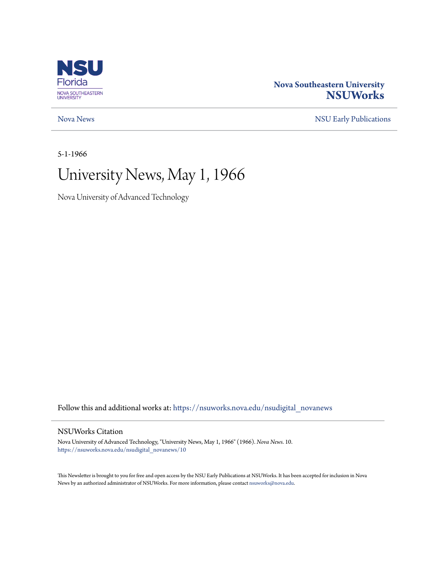

### **Nova Southeastern University [NSUWorks](https://nsuworks.nova.edu?utm_source=nsuworks.nova.edu%2Fnsudigital_novanews%2F10&utm_medium=PDF&utm_campaign=PDFCoverPages)**

### [Nova News](https://nsuworks.nova.edu/nsudigital_novanews?utm_source=nsuworks.nova.edu%2Fnsudigital_novanews%2F10&utm_medium=PDF&utm_campaign=PDFCoverPages) [NSU Early Publications](https://nsuworks.nova.edu/nsudigital_earlypubs?utm_source=nsuworks.nova.edu%2Fnsudigital_novanews%2F10&utm_medium=PDF&utm_campaign=PDFCoverPages)

5-1-1966

## University News, May 1, 1966

Nova University of Advanced Technology

Follow this and additional works at: [https://nsuworks.nova.edu/nsudigital\\_novanews](https://nsuworks.nova.edu/nsudigital_novanews?utm_source=nsuworks.nova.edu%2Fnsudigital_novanews%2F10&utm_medium=PDF&utm_campaign=PDFCoverPages)

### NSUWorks Citation

Nova University of Advanced Technology, "University News, May 1, 1966" (1966). *Nova News*. 10. [https://nsuworks.nova.edu/nsudigital\\_novanews/10](https://nsuworks.nova.edu/nsudigital_novanews/10?utm_source=nsuworks.nova.edu%2Fnsudigital_novanews%2F10&utm_medium=PDF&utm_campaign=PDFCoverPages)

This Newsletter is brought to you for free and open access by the NSU Early Publications at NSUWorks. It has been accepted for inclusion in Nova News by an authorized administrator of NSUWorks. For more information, please contact [nsuworks@nova.edu.](mailto:nsuworks@nova.edu)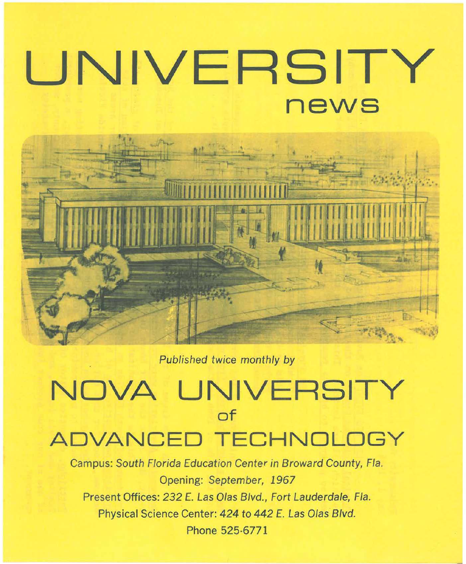# **UNIVERSITY news**



Published twice monthly by

# **NOVA UNIVERSITY of ADVANCED TECHNOL**

Campus: South Florida Education Center in Broward County, Fla. Opening: September, 1967 Present Offices: 232 E. Las Olas Blvd., Fort Lauderdale, Fla. Physical Science Center: 424 to 442 E. Las Olas Blvd. Phone 525-6771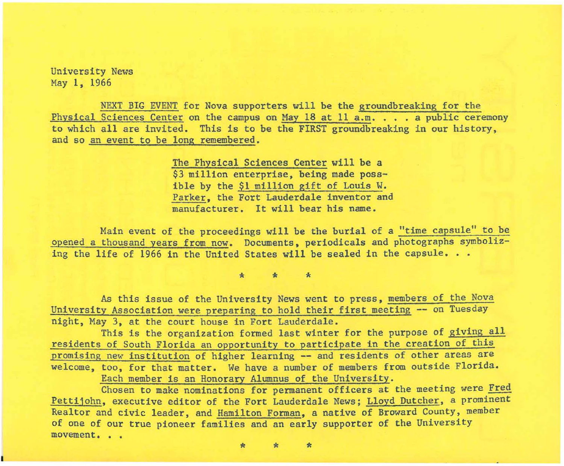University News May 1, 1966

NEXT BIG EVENT for Nova supporters will be the groundbreaking for the Physical Sciences Center on the campus on May 18 at 11 a.m. . . . a public ceremony to which all are invited. This is to be the FIRST groundbreaking in our history, and so an event to be long remembered.

> The Physical Sciences Center will be a \$3 million enterprise, being made possible by the \$1 million gift of Louis W. Parker, the Fort Lauderdale inventor and manufacturer. It will bear his name.

Hain event of the proceedings will be the burial of a "time capsule" to be opened a thousand years from now. Documents, periodicals and photographs symbolizing the life of 1966 in the United States will be sealed in the capsule.  $\ldots$ 

\* \* \*

As this issue of the University News went to press, members of the Nova University Association were preparing to hold their first meeting -- on Tuesday night, May 3, at the court house in Fort Lauderdale.

This is the organization formed last winter for the purpose of giving all residents of South Florida an opportunity to participate in the creation of this promising new institution of higher learning -- and residents of other areas are welcome, too, for that matter. We have a number of members from outside Florida. Each member is an Honorary Alumnus of the University .

Chosen to make nominations for permanent officers at the meeting were Fred Pettijohn, executive editor of the Fort Lauderdale News; Lloyd Dutcher, a prominent Realtor and civic leader, and Hamilton Forman, a native of Broward County, member of one of our true pioneer families and an early supporter of the University **movement • ..** 

\* \* \*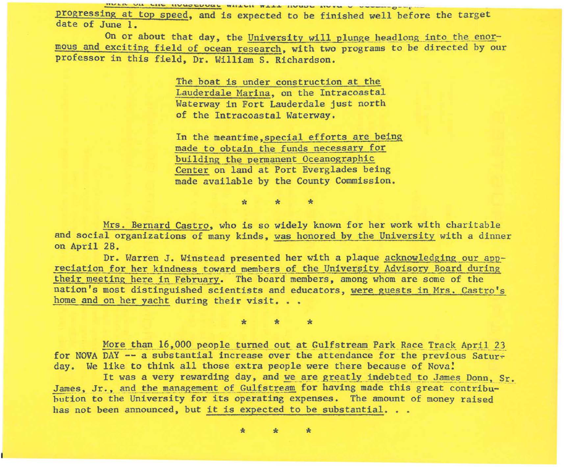HOTE ON THE HONOCDOGE WHERE WETT HAT HARD TAXA A ACADEMIC O-A progressing at top speed, and is expected to be finished well before the target date of June 1.

On or about that day, the University will plunge headlong into the enormous and exciting field of ocean research, with two programs to be directed by our professor in this field, Dr. William S. Richardson.

> The boat is under construction at the Lauderdale Marina, on the Intracoastal Waterway in Fort Lauderdale just north of the Intracoastal Waterway.

In the meantime, special efforts are being made to obtain the funds necessary for building the permanent Oceanographic Center on land at Port Everglades being made available by the County Commission.

 $\mathcal{R}$ 

Mrs. Bernard Castro, who is so widely known for her work with charitable and social organizations of many kinds, was honored by the University with a dinner on April 28.

Dr. Warren J. Winstead presented her with a plaque acknowledging our appreciation for her kindness toward members of the University Advisory Board during their meeting here in February. The board members, among whom are some of the nation's most distinguished scientists and educators, were guests in Mrs. Castro's home and on her yacht during their visit...

More than 16,000 people turned out at Gulfstream Park Race Track April 23 for NOVA DAY -- a substantial increase over the attendance for the previous Saturday. We like to think all those extra people were there because of Nova!

It was a very rewarding day, and we are greatly indebted to James Donn, Sr. James. Jr., and the management of Gulfstream for having made this great contribubution to the University for its operating expenses. The amount of money raised has not been announced, but it is expected to be substantial...

> $\mathbf{r}$  $\star$  $\mathbf{r}$